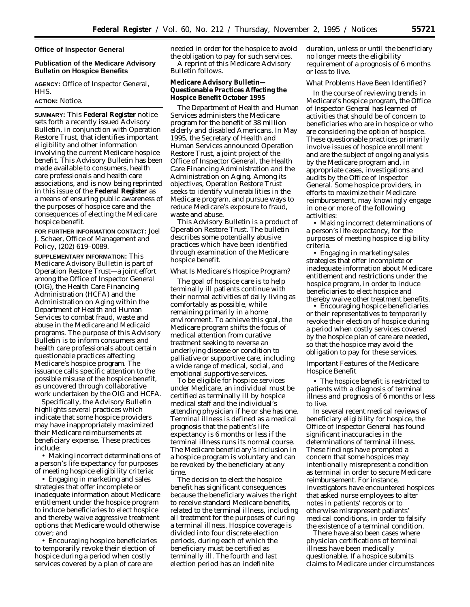#### **Office of Inspector General**

### **Publication of the Medicare Advisory Bulletin on Hospice Benefits**

**AGENCY:** Office of Inspector General, HHS.

#### **ACTION:** Notice.

**SUMMARY:** This **Federal Register** notice sets forth a recently issued Advisory Bulletin, in conjunction with Operation Restore Trust, that identifies important eligibility and other information involving the current Medicare hospice benefit. This Advisory Bulletin has been made available to consumers, health care professionals and health care associations, and is now being reprinted in this issue of the **Federal Register** as a means of ensuring public awareness of the purposes of hospice care and the consequences of electing the Medicare hospice benefit.

**FOR FURTHER INFORMATION CONTACT:** Joel J. Schaer, Office of Management and Policy, (202) 619–0089.

**SUPPLEMENTARY INFORMATION:** This Medicare Advisory Bulletin is part of Operation Restore Trust—a joint effort among the Office of Inspector General (OIG), the Health Care Financing Administration (HCFA) and the Administration on Aging within the Department of Health and Human Services to combat fraud, waste and abuse in the Medicare and Medicaid programs. The purpose of this Advisory Bulletin is to inform consumers and health care professionals about certain questionable practices affecting Medicare's hospice program. The issuance calls specific attention to the possible misuse of the hospice benefit, as uncovered through collaborative work undertaken by the OIG and HCFA.

Specifically, the Advisory Bulletin highlights several practices which indicate that some hospice providers may have inappropriately maximized their Medicare reimbursements at beneficiary expense. These practices include:

• Making incorrect determinations of a person's life expectancy for purposes of meeting hospice eligibility criteria;

• Engaging in marketing and sales strategies that offer incomplete or inadequate information about Medicare entitlement under the hospice program to induce beneficiaries to elect hospice and thereby waive aggressive treatment options that Medicare would otherwise cover; and

• Encouraging hospice beneficiaries to temporarily revoke their election of hospice during a period when costly services covered by a plan of care are

needed in order for the hospice to avoid the obligation to pay for such services. A reprint of this Medicare Advisory Bulletin follows.

**Medicare Advisory Bulletin— Questionable Practices Affecting the Hospice Benefit October 1995** 

The Department of Health and Human Services administers the Medicare program for the benefit of 38 million elderly and disabled Americans. In May 1995, the Secretary of Health and Human Services announced Operation Restore Trust, a joint project of the Office of Inspector General, the Health Care Financing Administration and the Administration on Aging. Among its objectives, Operation Restore Trust seeks to identify vulnerabilities in the Medicare program, and pursue ways to reduce Medicare's exposure to fraud, waste and abuse.

This Advisory Bulletin is a product of Operation Restore Trust. The bulletin describes some potentially abusive practices which have been identified through examination of the Medicare hospice benefit.

#### *What Is Medicare's Hospice Program?*

The goal of hospice care is to help terminally ill patients continue with their normal activities of daily living as comfortably as possible, while remaining primarily in a home environment. To achieve this goal, the Medicare program shifts the focus of medical attention from curative treatment seeking to reverse an underlying disease or condition to palliative or supportive care, including a wide range of medical, social, and emotional supportive services.

To be eligible for hospice services under Medicare, an individual must be certified as terminally ill by hospice medical staff and the individual's attending physician if he or she has one. Terminal illness is defined as a medical prognosis that the patient's life expectancy is 6 months or less if the terminal illness runs its normal course. The Medicare beneficiary's inclusion in a hospice program is voluntary and can be revoked by the beneficiary at any time.

The decision to elect the hospice benefit has significant consequences because the beneficiary waives the right to receive standard Medicare benefits, related to the terminal illness, including all treatment for the purposes of curing a terminal illness. Hospice coverage is divided into four discrete election periods, during each of which the beneficiary must be certified as terminally ill. The fourth and last election period has an indefinite

duration, unless or until the beneficiary no longer meets the eligibility requirement of a prognosis of 6 months or less to live.

## *What Problems Have Been Identified?*

In the course of reviewing trends in Medicare's hospice program, the Office of Inspector General has learned of activities that should be of concern to beneficiaries who are in hospice or who are considering the option of hospice. These questionable practices primarily involve issues of hospice enrollment and are the subject of ongoing analysis by the Medicare program and, in appropriate cases, investigations and audits by the Office of Inspector General. Some hospice providers, in efforts to maximize their Medicare reimbursement, may knowingly engage in one or more of the following activities:

• Making incorrect determinations of a person's life expectancy, for the purposes of meeting hospice eligibility criteria.

• Engaging in marketing/sales strategies that offer incomplete or inadequate information about Medicare entitlement and restrictions under the hospice program, in order to induce beneficiaries to elect hospice and thereby waive other treatment benefits.

• Encouraging hospice beneficiaries or their representatives to temporarily revoke their election of hospice during a period when costly services covered by the hospice plan of care are needed, so that the hospice may avoid the obligation to pay for these services.

#### *Important Features of the Medicare Hospice Benefit*

• *The hospice benefit is restricted to patients with a diagnosis of terminal illness and prognosis of 6 months or less to live.* 

In several recent medical reviews of beneficiary eligibility for hospice, the Office of Inspector General has found significant inaccuracies in the determinations of terminal illness. These findings have prompted a concern that some hospices may intentionally misrepresent a condition as terminal in order to secure Medicare reimbursement. For instance, investigators have encountered hospices that asked nurse employees to alter notes in patients' records or to otherwise misrepresent patients' medical conditions, in order to falsify the existence of a terminal condition.

There have also been cases where physician certifications of terminal illness have been medically questionable. If a hospice submits claims to Medicare under circumstances